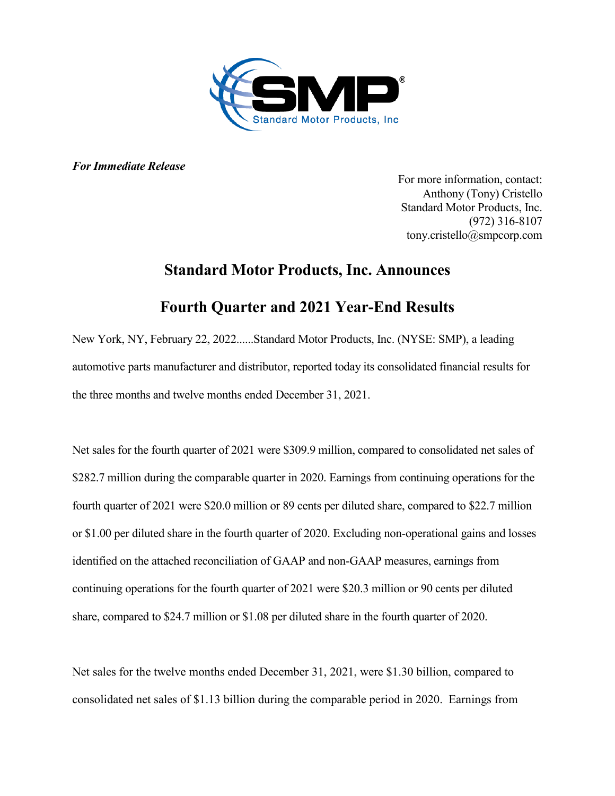

*For Immediate Release*

For more information, contact: Anthony (Tony) Cristello Standard Motor Products, Inc. (972) 316-8107 tony.cristello@smpcorp.com

# **Standard Motor Products, Inc. Announces**

# **Fourth Quarter and 2021 Year-End Results**

New York, NY, February 22, 2022......Standard Motor Products, Inc. (NYSE: SMP), a leading automotive parts manufacturer and distributor, reported today its consolidated financial results for the three months and twelve months ended December 31, 2021.

Net sales for the fourth quarter of 2021 were \$309.9 million, compared to consolidated net sales of \$282.7 million during the comparable quarter in 2020. Earnings from continuing operations for the fourth quarter of 2021 were \$20.0 million or 89 cents per diluted share, compared to \$22.7 million or \$1.00 per diluted share in the fourth quarter of 2020. Excluding non-operational gains and losses identified on the attached reconciliation of GAAP and non-GAAP measures, earnings from continuing operations for the fourth quarter of 2021 were \$20.3 million or 90 cents per diluted share, compared to \$24.7 million or \$1.08 per diluted share in the fourth quarter of 2020.

Net sales for the twelve months ended December 31, 2021, were \$1.30 billion, compared to consolidated net sales of \$1.13 billion during the comparable period in 2020. Earnings from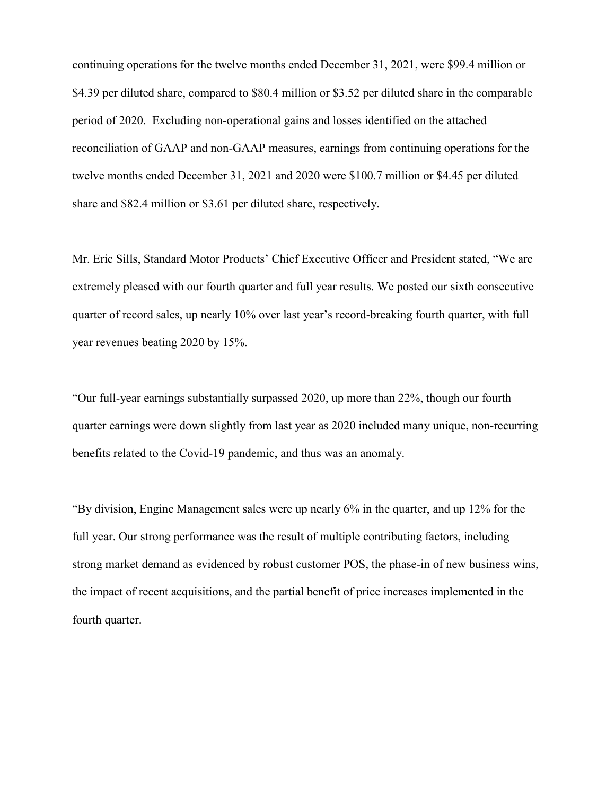continuing operations for the twelve months ended December 31, 2021, were \$99.4 million or \$4.39 per diluted share, compared to \$80.4 million or \$3.52 per diluted share in the comparable period of 2020. Excluding non-operational gains and losses identified on the attached reconciliation of GAAP and non-GAAP measures, earnings from continuing operations for the twelve months ended December 31, 2021 and 2020 were \$100.7 million or \$4.45 per diluted share and \$82.4 million or \$3.61 per diluted share, respectively.

Mr. Eric Sills, Standard Motor Products' Chief Executive Officer and President stated, "We are extremely pleased with our fourth quarter and full year results. We posted our sixth consecutive quarter of record sales, up nearly 10% over last year's record-breaking fourth quarter, with full year revenues beating 2020 by 15%.

"Our full-year earnings substantially surpassed 2020, up more than 22%, though our fourth quarter earnings were down slightly from last year as 2020 included many unique, non-recurring benefits related to the Covid-19 pandemic, and thus was an anomaly.

"By division, Engine Management sales were up nearly 6% in the quarter, and up 12% for the full year. Our strong performance was the result of multiple contributing factors, including strong market demand as evidenced by robust customer POS, the phase-in of new business wins, the impact of recent acquisitions, and the partial benefit of price increases implemented in the fourth quarter.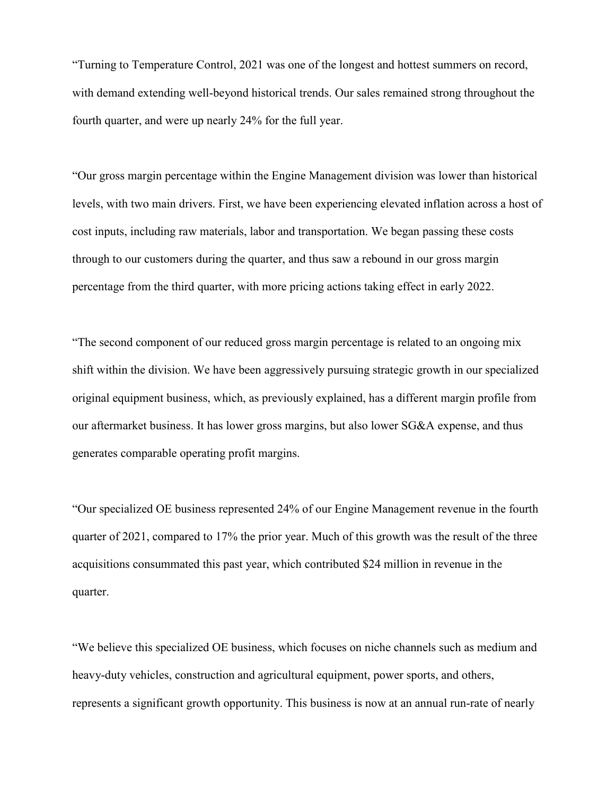"Turning to Temperature Control, 2021 was one of the longest and hottest summers on record, with demand extending well-beyond historical trends. Our sales remained strong throughout the fourth quarter, and were up nearly 24% for the full year.

"Our gross margin percentage within the Engine Management division was lower than historical levels, with two main drivers. First, we have been experiencing elevated inflation across a host of cost inputs, including raw materials, labor and transportation. We began passing these costs through to our customers during the quarter, and thus saw a rebound in our gross margin percentage from the third quarter, with more pricing actions taking effect in early 2022.

"The second component of our reduced gross margin percentage is related to an ongoing mix shift within the division. We have been aggressively pursuing strategic growth in our specialized original equipment business, which, as previously explained, has a different margin profile from our aftermarket business. It has lower gross margins, but also lower SG&A expense, and thus generates comparable operating profit margins.

"Our specialized OE business represented 24% of our Engine Management revenue in the fourth quarter of 2021, compared to 17% the prior year. Much of this growth was the result of the three acquisitions consummated this past year, which contributed \$24 million in revenue in the quarter.

"We believe this specialized OE business, which focuses on niche channels such as medium and heavy-duty vehicles, construction and agricultural equipment, power sports, and others, represents a significant growth opportunity. This business is now at an annual run-rate of nearly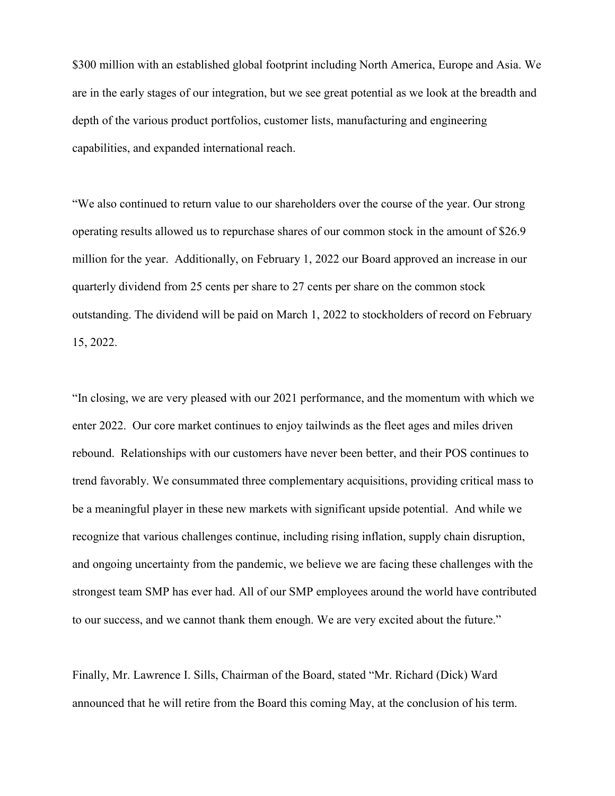\$300 million with an established global footprint including North America, Europe and Asia. We are in the early stages of our integration, but we see great potential as we look at the breadth and depth of the various product portfolios, customer lists, manufacturing and engineering capabilities, and expanded international reach.

"We also continued to return value to our shareholders over the course of the year. Our strong operating results allowed us to repurchase shares of our common stock in the amount of \$26.9 million for the year. Additionally, on February 1, 2022 our Board approved an increase in our quarterly dividend from 25 cents per share to 27 cents per share on the common stock outstanding. The dividend will be paid on March 1, 2022 to stockholders of record on February 15, 2022.

"In closing, we are very pleased with our 2021 performance, and the momentum with which we enter 2022. Our core market continues to enjoy tailwinds as the fleet ages and miles driven rebound. Relationships with our customers have never been better, and their POS continues to trend favorably. We consummated three complementary acquisitions, providing critical mass to be a meaningful player in these new markets with significant upside potential. And while we recognize that various challenges continue, including rising inflation, supply chain disruption, and ongoing uncertainty from the pandemic, we believe we are facing these challenges with the strongest team SMP has ever had. All of our SMP employees around the world have contributed to our success, and we cannot thank them enough. We are very excited about the future."

Finally, Mr. Lawrence I. Sills, Chairman of the Board, stated "Mr. Richard (Dick) Ward announced that he will retire from the Board this coming May, at the conclusion of his term.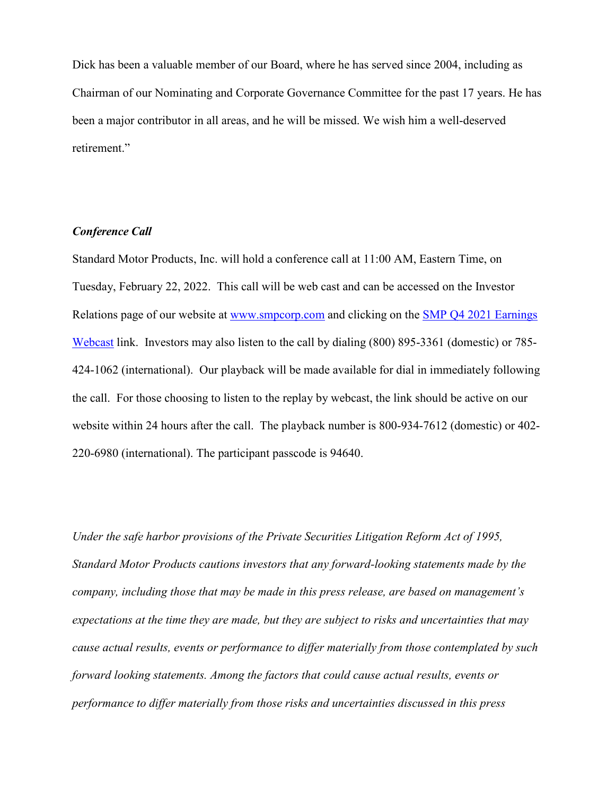Dick has been a valuable member of our Board, where he has served since 2004, including as Chairman of our Nominating and Corporate Governance Committee for the past 17 years. He has been a major contributor in all areas, and he will be missed. We wish him a well-deserved retirement."

### *Conference Call*

Standard Motor Products, Inc. will hold a conference call at 11:00 AM, Eastern Time, on Tuesday, February 22, 2022. This call will be web cast and can be accessed on the Investor Relations page of our website at [www.smpcorp.com](http://www.smpcorp.com/) and clicking on the [SMP Q4 2021 Earnings](https://urldefense.com/v3/__https:/www.connexcastpro.com/webcasts/cc/events/A06n60.cfm__;!!LbEW0g!mjpOCofFbKY7VNPne_9_8LlyZvz5yRglpXENA3N5DSLCbXANDnf5AaJle5TC62gnb9hY$)  [Webcast](https://urldefense.com/v3/__https:/www.connexcastpro.com/webcasts/cc/events/A06n60.cfm__;!!LbEW0g!mjpOCofFbKY7VNPne_9_8LlyZvz5yRglpXENA3N5DSLCbXANDnf5AaJle5TC62gnb9hY$) link. Investors may also listen to the call by dialing (800) 895-3361 (domestic) or 785- 424-1062 (international). Our playback will be made available for dial in immediately following the call. For those choosing to listen to the replay by webcast, the link should be active on our website within 24 hours after the call. The playback number is 800-934-7612 (domestic) or 402- 220-6980 (international). The participant passcode is 94640.

*Under the safe harbor provisions of the Private Securities Litigation Reform Act of 1995, Standard Motor Products cautions investors that any forward-looking statements made by the company, including those that may be made in this press release, are based on management's expectations at the time they are made, but they are subject to risks and uncertainties that may cause actual results, events or performance to differ materially from those contemplated by such forward looking statements. Among the factors that could cause actual results, events or performance to differ materially from those risks and uncertainties discussed in this press*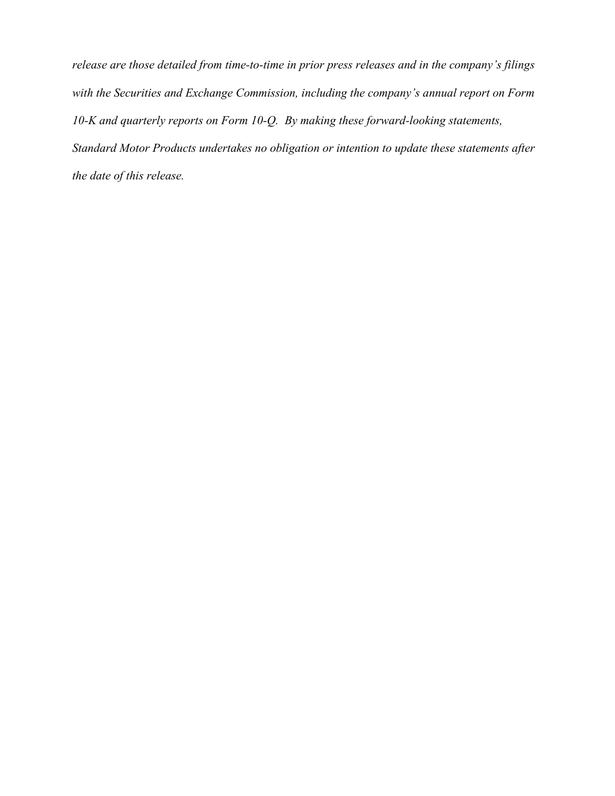*release are those detailed from time-to-time in prior press releases and in the company's filings with the Securities and Exchange Commission, including the company's annual report on Form 10-K and quarterly reports on Form 10-Q. By making these forward-looking statements, Standard Motor Products undertakes no obligation or intention to update these statements after the date of this release.*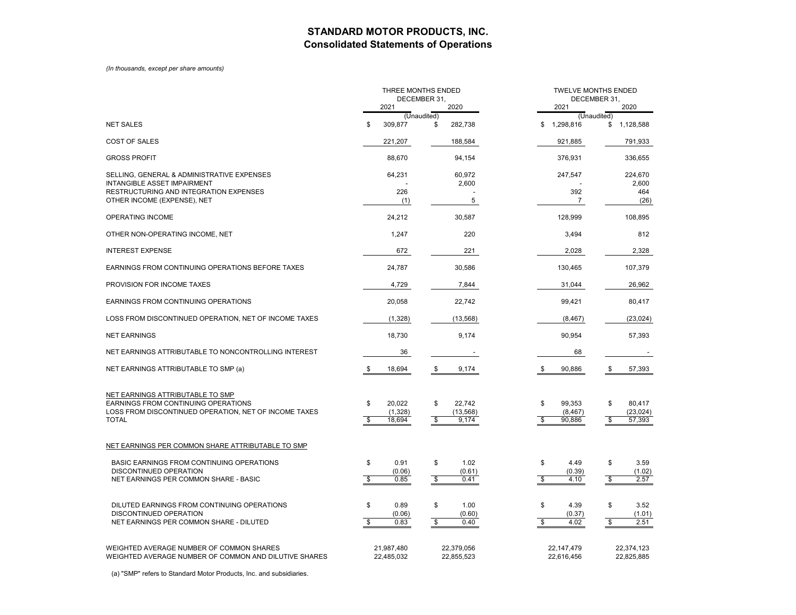## **STANDARD MOTOR PRODUCTS, INC. Consolidated Statements of Operations**

#### *(In thousands, except per share amounts)*

|                                                                                                                                                         |                               | THREE MONTHS ENDED          | DECEMBER 31,                  |                              |                                | TWELVE MONTHS ENDED<br>DECEMBER 31,<br>2021<br>2020 |                          |                               |  |  |
|---------------------------------------------------------------------------------------------------------------------------------------------------------|-------------------------------|-----------------------------|-------------------------------|------------------------------|--------------------------------|-----------------------------------------------------|--------------------------|-------------------------------|--|--|
|                                                                                                                                                         |                               | 2021                        | (Unaudited)                   | 2020                         |                                |                                                     | (Unaudited)              |                               |  |  |
| <b>NET SALES</b>                                                                                                                                        | \$                            | 309,877                     | \$                            | 282,738                      | \$                             | 1,298,816                                           |                          | \$1,128,588                   |  |  |
| <b>COST OF SALES</b>                                                                                                                                    |                               | 221,207                     |                               | 188,584                      |                                | 921,885                                             |                          | 791,933                       |  |  |
| <b>GROSS PROFIT</b>                                                                                                                                     |                               | 88,670                      |                               | 94,154                       |                                | 376,931                                             |                          | 336,655                       |  |  |
| SELLING, GENERAL & ADMINISTRATIVE EXPENSES<br><b>INTANGIBLE ASSET IMPAIRMENT</b><br><b>RESTRUCTURING AND INTEGRATION EXPENSES</b>                       |                               | 64,231<br>226               |                               | 60,972<br>2,600              |                                | 247,547<br>392                                      |                          | 224,670<br>2,600<br>464       |  |  |
| OTHER INCOME (EXPENSE), NET                                                                                                                             |                               | (1)                         |                               | 5                            |                                | 7                                                   |                          | (26)                          |  |  |
| <b>OPERATING INCOME</b>                                                                                                                                 |                               | 24,212                      |                               | 30,587                       |                                | 128,999                                             |                          | 108,895                       |  |  |
| OTHER NON-OPERATING INCOME, NET                                                                                                                         |                               | 1,247                       |                               | 220                          |                                | 3,494                                               |                          | 812                           |  |  |
| <b>INTEREST EXPENSE</b>                                                                                                                                 |                               | 672                         |                               | 221                          |                                | 2,028                                               |                          | 2,328                         |  |  |
| EARNINGS FROM CONTINUING OPERATIONS BEFORE TAXES                                                                                                        |                               | 24,787                      |                               | 30,586                       |                                | 130,465                                             |                          | 107,379                       |  |  |
| PROVISION FOR INCOME TAXES                                                                                                                              |                               | 4,729                       |                               | 7,844                        |                                | 31,044                                              |                          | 26,962                        |  |  |
| EARNINGS FROM CONTINUING OPERATIONS                                                                                                                     |                               | 20,058                      |                               | 22,742                       |                                | 99,421                                              |                          | 80,417                        |  |  |
| LOSS FROM DISCONTINUED OPERATION, NET OF INCOME TAXES                                                                                                   |                               | (1,328)                     |                               | (13, 568)                    |                                | (8, 467)                                            |                          | (23, 024)                     |  |  |
| <b>NET EARNINGS</b>                                                                                                                                     |                               | 18,730                      |                               | 9,174                        |                                | 90,954                                              |                          | 57,393                        |  |  |
| NET EARNINGS ATTRIBUTABLE TO NONCONTROLLING INTEREST                                                                                                    |                               | 36                          |                               |                              |                                | 68                                                  |                          |                               |  |  |
| NET EARNINGS ATTRIBUTABLE TO SMP (a)                                                                                                                    | - \$                          | 18,694                      | \$                            | 9,174                        | \$                             | 90,886                                              | \$                       | 57,393                        |  |  |
| NET EARNINGS ATTRIBUTABLE TO SMP<br><b>EARNINGS FROM CONTINUING OPERATIONS</b><br>LOSS FROM DISCONTINUED OPERATION, NET OF INCOME TAXES<br><b>TOTAL</b> | \$<br>\$                      | 20.022<br>(1,328)<br>18,694 | \$<br>\$                      | 22,742<br>(13, 568)<br>9.174 | \$<br>\$                       | 99.353<br>(8, 467)<br>90,886                        | \$<br>S,                 | 80,417<br>(23, 024)<br>57,393 |  |  |
| NET EARNINGS PER COMMON SHARE ATTRIBUTABLE TO SMP                                                                                                       |                               |                             |                               |                              |                                |                                                     |                          |                               |  |  |
| <b>BASIC EARNINGS FROM CONTINUING OPERATIONS</b><br>DISCONTINUED OPERATION<br>NET EARNINGS PER COMMON SHARE - BASIC                                     | \$<br>$\overline{\mathbf{s}}$ | 0.91<br>(0.06)<br>0.85      | \$<br>$\sqrt[6]{\frac{2}{5}}$ | 1.02<br>(0.61)<br>0.41       | \$<br>$\overline{\mathcal{E}}$ | 4.49<br>(0.39)<br>4.10                              | \$<br>$\mathbf{\hat{s}}$ | 3.59<br>(1.02)<br>2.57        |  |  |
| DILUTED EARNINGS FROM CONTINUING OPERATIONS<br><b>DISCONTINUED OPERATION</b><br>NET EARNINGS PER COMMON SHARE - DILUTED                                 | \$<br>\$                      | 0.89<br>(0.06)<br>0.83      | \$<br>\$                      | 1.00<br>(0.60)<br>0.40       | \$<br>\$                       | 4.39<br>(0.37)<br>4.02                              | \$<br>-S                 | 3.52<br>(1.01)<br>2.51        |  |  |
| WEIGHTED AVERAGE NUMBER OF COMMON SHARES<br>WEIGHTED AVERAGE NUMBER OF COMMON AND DILUTIVE SHARES                                                       |                               | 21,987,480<br>22,485,032    |                               | 22,379,056<br>22,855,523     |                                | 22, 147, 479<br>22,616,456                          |                          | 22,374,123<br>22,825,885      |  |  |

(a) "SMP" refers to Standard Motor Products, Inc. and subsidiaries.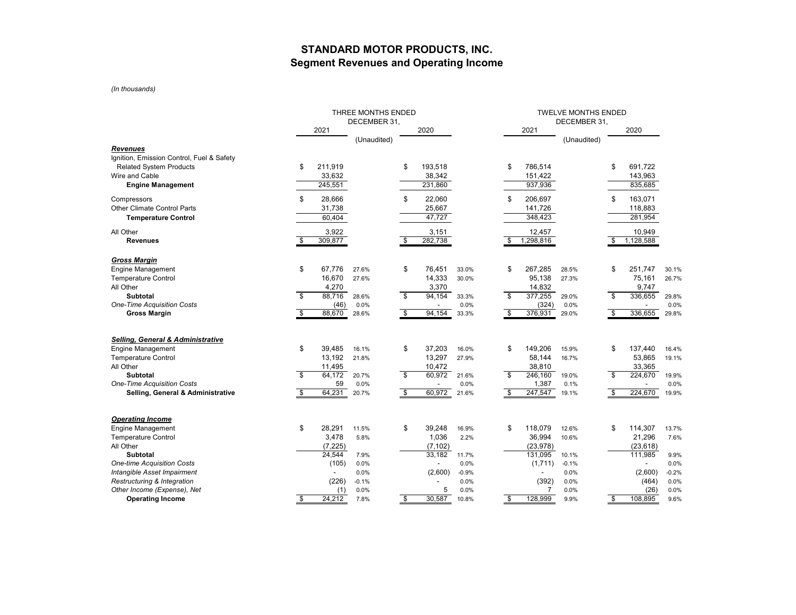## **STANDARD MOTOR PRODUCTS, INC. Segment Revenues and Operating Income**

*(In thousands)*

|                                              |              | THREE MONTHS ENDED |             |                         |                          | <b>TWELVE MONTHS ENDED</b> |              |                |             |     |                          |         |
|----------------------------------------------|--------------|--------------------|-------------|-------------------------|--------------------------|----------------------------|--------------|----------------|-------------|-----|--------------------------|---------|
|                                              |              | DECEMBER 31,       |             |                         |                          |                            | DECEMBER 31, |                |             |     |                          |         |
|                                              |              | 2021               |             |                         | 2020                     |                            |              | 2021           |             |     | 2020                     |         |
|                                              |              |                    | (Unaudited) |                         |                          |                            |              |                | (Unaudited) |     |                          |         |
| <b>Revenues</b>                              |              |                    |             |                         |                          |                            |              |                |             |     |                          |         |
| Ignition, Emission Control, Fuel & Safety    |              |                    |             |                         |                          |                            |              |                |             |     |                          |         |
| <b>Related System Products</b>               | \$           | 211,919            |             | \$                      | 193,518                  |                            | \$           | 786,514        |             | \$  | 691,722                  |         |
| Wire and Cable                               |              | 33,632             |             |                         | 38,342                   |                            |              | 151,422        |             |     | 143,963                  |         |
| <b>Engine Management</b>                     |              | 245, 551           |             |                         | 231,860                  |                            |              | 937,936        |             |     | 835,685                  |         |
| Compressors                                  | \$           | 28,666             |             | \$                      | 22,060                   |                            | \$           | 206,697        |             | \$  | 163,071                  |         |
| Other Climate Control Parts                  |              | 31,738             |             |                         | 25,667                   |                            |              | 141,726        |             |     | 118,883                  |         |
| <b>Temperature Control</b>                   |              | 60,404             |             |                         | 47,727                   |                            |              | 348,423        |             |     | 281,954                  |         |
| All Other                                    |              | 3,922              |             |                         | 3,151                    |                            |              | 12,457         |             |     | 10,949                   |         |
| <b>Revenues</b>                              | \$           | 309,877            |             | \$                      | 282,738                  |                            | \$           | 1,298,816      |             | \$  | 1,128,588                |         |
| <b>Gross Margin</b>                          |              |                    |             |                         |                          |                            |              |                |             |     |                          |         |
| <b>Engine Management</b>                     | \$           | 67,776             | 27.6%       | \$                      | 76,451                   | 33.0%                      | \$           | 267,285        | 28.5%       | \$  | 251,747                  | 30.1%   |
| <b>Temperature Control</b>                   |              | 16,670             | 27.6%       |                         | 14,333                   | 30.0%                      |              | 95,138         | 27.3%       |     | 75,161                   | 26.7%   |
| All Other                                    |              | 4,270              |             |                         | 3,370                    |                            |              | 14,832         |             |     | 9,747                    |         |
| <b>Subtotal</b>                              | s,           | 88,716             | 28.6%       | s,                      | 94,154                   | 33.3%                      | s,           | 377,255        | 29.0%       | \$  | 336,655                  | 29.8%   |
| <b>One-Time Acquisition Costs</b>            |              | (46)               | 0.0%        |                         |                          | 0.0%                       |              | (324)          | 0.0%        |     |                          | 0.0%    |
| <b>Gross Margin</b>                          | $\mathbf{s}$ | 88,670             | 28.6%       | $\overline{\mathbf{s}}$ | 94,154                   | 33.3%                      | \$           | 376,931        | 29.0%       | \$  | 336,655                  | 29.8%   |
|                                              |              |                    |             |                         |                          |                            |              |                |             |     |                          |         |
| <b>Selling, General &amp; Administrative</b> |              |                    |             |                         |                          |                            |              |                |             |     |                          |         |
| <b>Engine Management</b>                     | \$           | 39.485             | 16.1%       | \$                      | 37,203                   | 16.0%                      | \$           | 149.206        | 15.9%       | \$  | 137,440                  | 16.4%   |
| <b>Temperature Control</b>                   |              | 13,192             | 21.8%       |                         | 13,297                   | 27.9%                      |              | 58,144         | 16.7%       |     | 53,865                   | 19.1%   |
| All Other                                    |              | 11,495             |             |                         | 10,472                   |                            |              | 38,810         |             |     | 33,365                   |         |
| Subtotal                                     | \$           | 64,172             | 20.7%       | \$                      | 60,972                   | 21.6%                      | \$           | 246.160        | 19.0%       | \$  | 224,670                  | 19.9%   |
| <b>One-Time Acquisition Costs</b>            |              | 59                 | 0.0%        |                         | $\overline{\phantom{a}}$ | 0.0%                       |              | 1,387          | 0.1%        |     | $\overline{\phantom{a}}$ | 0.0%    |
| Selling, General & Administrative            | \$           | 64,231             | 20.7%       | \$                      | 60,972                   | 21.6%                      | \$.          | 247,547        | 19.1%       | \$. | 224,670                  | 19.9%   |
|                                              |              |                    |             |                         |                          |                            |              |                |             |     |                          |         |
| <b>Operating Income</b>                      |              |                    |             |                         |                          |                            |              |                |             |     |                          |         |
| <b>Engine Management</b>                     | \$           | 28,291             | 11.5%       | \$                      | 39,248                   | 16.9%                      | \$           | 118,079        | 12.6%       | \$  | 114,307                  | 13.7%   |
| <b>Temperature Control</b>                   |              | 3,478              | 5.8%        |                         | 1,036                    | 2.2%                       |              | 36,994         | 10.6%       |     | 21,296                   | 7.6%    |
| All Other                                    |              | (7, 225)           |             |                         | (7, 102)                 |                            |              | (23, 978)      |             |     | (23, 618)                |         |
| <b>Subtotal</b>                              |              | 24,544             | 7.9%        |                         | 33,182                   | 11.7%                      |              | 131.095        | 10.1%       |     | 111,985                  | 9.9%    |
| <b>One-time Acquisition Costs</b>            |              | (105)              | 0.0%        |                         |                          | 0.0%                       |              | (1,711)        | $-0.1%$     |     | $\overline{\phantom{a}}$ | 0.0%    |
| Intangible Asset Impairment                  |              |                    | 0.0%        |                         | (2,600)                  | $-0.9%$                    |              | $\blacksquare$ | 0.0%        |     | (2,600)                  | $-0.2%$ |
| Restructuring & Integration                  |              | (226)              | $-0.1%$     |                         |                          | 0.0%                       |              | (392)          | 0.0%        |     | (464)                    | 0.0%    |
| Other Income (Expense), Net                  |              | (1)                | 0.0%        |                         | 5                        | 0.0%                       |              | $\overline{7}$ | 0.0%        |     | (26)                     | 0.0%    |
| <b>Operating Income</b>                      | \$           | 24,212             | 7.8%        | \$                      | 30,587                   | 10.8%                      | \$           | 128,999        | 9.9%        | \$  | 108,895                  | 9.6%    |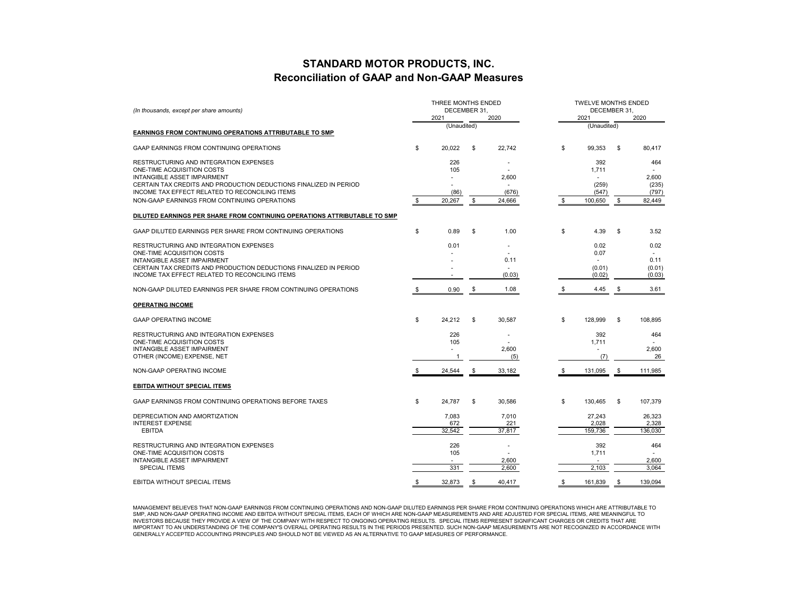## **STANDARD MOTOR PRODUCTS, INC. Reconciliation of GAAP and Non-GAAP Measures**

| (In thousands, except per share amounts)                                  | THREE MONTHS ENDED<br>DECEMBER 31.<br>2021<br>2020 |             |    |        |    | <b>TWELVE MONTHS ENDED</b><br>DECEMBER 31.<br>2021<br>2020 |    |         |  |  |
|---------------------------------------------------------------------------|----------------------------------------------------|-------------|----|--------|----|------------------------------------------------------------|----|---------|--|--|
| <b>EARNINGS FROM CONTINUING OPERATIONS ATTRIBUTABLE TO SMP</b>            |                                                    | (Unaudited) |    |        |    | (Unaudited)                                                |    |         |  |  |
| <b>GAAP EARNINGS FROM CONTINUING OPERATIONS</b>                           | S                                                  | 20,022      | S  | 22.742 | \$ | 99,353                                                     | \$ | 80,417  |  |  |
|                                                                           |                                                    |             |    |        |    |                                                            |    |         |  |  |
| RESTRUCTURING AND INTEGRATION EXPENSES<br>ONE-TIME ACQUISITION COSTS      |                                                    | 226<br>105  |    |        |    | 392<br>1.711                                               |    | 464     |  |  |
| <b>INTANGIBLE ASSET IMPAIRMENT</b>                                        |                                                    |             |    | 2.600  |    |                                                            |    | 2,600   |  |  |
| CERTAIN TAX CREDITS AND PRODUCTION DEDUCTIONS FINALIZED IN PERIOD         |                                                    |             |    | ٠      |    | (259)                                                      |    | (235)   |  |  |
| INCOME TAX EFFECT RELATED TO RECONCILING ITEMS                            |                                                    | (86)        |    | (676)  |    | (547)                                                      |    | (797)   |  |  |
| NON-GAAP EARNINGS FROM CONTINUING OPERATIONS                              | \$                                                 | 20,267      | \$ | 24,666 | \$ | 100,650                                                    | \$ | 82,449  |  |  |
| DILUTED EARNINGS PER SHARE FROM CONTINUING OPERATIONS ATTRIBUTABLE TO SMP |                                                    |             |    |        |    |                                                            |    |         |  |  |
| GAAP DILUTED EARNINGS PER SHARE FROM CONTINUING OPERATIONS                | \$                                                 | 0.89        | \$ | 1.00   | \$ | 4.39                                                       | \$ | 3.52    |  |  |
| RESTRUCTURING AND INTEGRATION EXPENSES                                    |                                                    | 0.01        |    |        |    | 0.02                                                       |    | 0.02    |  |  |
| ONE-TIME ACQUISITION COSTS                                                |                                                    |             |    |        |    | 0.07                                                       |    |         |  |  |
| <b>INTANGIBLE ASSET IMPAIRMENT</b>                                        |                                                    |             |    | 0.11   |    |                                                            |    | 0.11    |  |  |
| CERTAIN TAX CREDITS AND PRODUCTION DEDUCTIONS FINALIZED IN PERIOD         |                                                    |             |    |        |    | (0.01)                                                     |    | (0.01)  |  |  |
| INCOME TAX EFFECT RELATED TO RECONCILING ITEMS                            |                                                    |             |    | (0.03) |    | (0.02)                                                     |    | (0.03)  |  |  |
| NON-GAAP DILUTED EARNINGS PER SHARE FROM CONTINUING OPERATIONS            | \$                                                 | 0.90        | S  | 1.08   |    | 4.45                                                       | S  | 3.61    |  |  |
| <b>OPERATING INCOME</b>                                                   |                                                    |             |    |        |    |                                                            |    |         |  |  |
| <b>GAAP OPERATING INCOME</b>                                              | s.                                                 | 24,212      | S  | 30.587 | \$ | 128.999                                                    | S  | 108,895 |  |  |
| RESTRUCTURING AND INTEGRATION EXPENSES                                    |                                                    | 226         |    |        |    | 392                                                        |    | 464     |  |  |
| ONE-TIME ACQUISITION COSTS                                                |                                                    | 105         |    |        |    | 1,711                                                      |    |         |  |  |
| INTANGIBLE ASSET IMPAIRMENT                                               |                                                    | ٠           |    | 2,600  |    |                                                            |    | 2,600   |  |  |
| OTHER (INCOME) EXPENSE, NET                                               |                                                    | $\mathbf 1$ |    | (5)    |    | (7)                                                        |    | 26      |  |  |
| NON-GAAP OPERATING INCOME                                                 | S.                                                 | 24,544      | \$ | 33,182 | \$ | 131,095                                                    | \$ | 111,985 |  |  |
| <b>EBITDA WITHOUT SPECIAL ITEMS</b>                                       |                                                    |             |    |        |    |                                                            |    |         |  |  |
| GAAP EARNINGS FROM CONTINUING OPERATIONS BEFORE TAXES                     | S                                                  | 24.787      | S  | 30.586 | \$ | 130.465                                                    | \$ | 107,379 |  |  |
| DEPRECIATION AND AMORTIZATION                                             |                                                    | 7,083       |    | 7,010  |    | 27,243                                                     |    | 26,323  |  |  |
| <b>INTEREST EXPENSE</b>                                                   |                                                    | 672         |    | 221    |    | 2,028                                                      |    | 2,328   |  |  |
| <b>EBITDA</b>                                                             |                                                    | 32,542      |    | 37,817 |    | 159,736                                                    |    | 136,030 |  |  |
| RESTRUCTURING AND INTEGRATION EXPENSES                                    |                                                    | 226         |    |        |    | 392                                                        |    | 464     |  |  |
| ONE-TIME ACQUISITION COSTS                                                |                                                    | 105         |    |        |    | 1,711                                                      |    |         |  |  |
| INTANGIBLE ASSET IMPAIRMENT                                               |                                                    |             |    | 2,600  |    | ÷                                                          |    | 2,600   |  |  |
| <b>SPECIAL ITEMS</b>                                                      |                                                    | 331         |    | 2,600  |    | 2,103                                                      |    | 3.064   |  |  |
| EBITDA WITHOUT SPECIAL ITEMS                                              | S                                                  | 32,873      | S  | 40,417 | \$ | 161,839                                                    | S  | 139,094 |  |  |

MANAGEMENT BELIEVES THAT NON-GAAP EARNINGS FROM CONTINUING OPERATIONS AND NON-GAAP DILUTED EARNINGS PER SHARE FROM CONTINUING OPERATIONS WHICH ARE ATTRIBUTABLE TO SMP, AND NON-GAAP OPERATING INCOME AND EBITDA WITHOUT SPECIAL ITEMS, EACH OF WHICH ARE NON-GAAP MEASUREMENTS AND ARE ADJUSTED FOR SPECIAL ITEMS, ARE MEANINGFUL TO INVESTORS BECAUSE THEY PROVIDE A VIEW OF THE COMPANY WITH RESPECT TO ONGOING OPERATING RESULTS. SPECIAL ITEMS REPRESENT SIGNIFICANT CHARGES OR CREDITS THAT ARE IMPORTANT TO AN UNDERSTANDING OF THE COMPANY'S OVERALL OPERATING RESULTS IN THE PERIODS PRESENTED. SUCH NON-GAAP MEASUREMENTS ARE NOT RECOGNIZED IN ACCORDANCE WITH GENERALLY ACCEPTED ACCOUNTING PRINCIPLES AND SHOULD NOT BE VIEWED AS AN ALTERNATIVE TO GAAP MEASURES OF PERFORMANCE.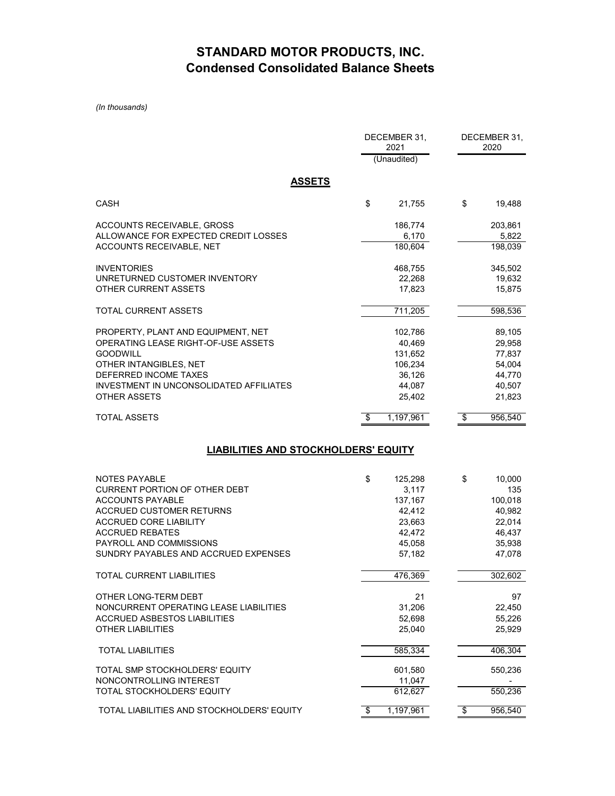## **STANDARD MOTOR PRODUCTS, INC. Condensed Consolidated Balance Sheets**

*(In thousands)*

|                                             | DECEMBER 31,<br>2021 |                 | DECEMBER 31,<br>2020 |  |  |
|---------------------------------------------|----------------------|-----------------|----------------------|--|--|
|                                             | (Unaudited)          |                 |                      |  |  |
|                                             |                      |                 |                      |  |  |
| <b>ASSETS</b>                               |                      |                 |                      |  |  |
| <b>CASH</b>                                 | \$<br>21,755         | \$              | 19.488               |  |  |
| ACCOUNTS RECEIVABLE, GROSS                  | 186,774              |                 | 203,861              |  |  |
| ALLOWANCE FOR EXPECTED CREDIT LOSSES        | 6,170                |                 | 5,822                |  |  |
| ACCOUNTS RECEIVABLE, NET                    | 180,604              |                 | 198,039              |  |  |
| <b>INVENTORIES</b>                          | 468,755              |                 | 345,502              |  |  |
| UNRETURNED CUSTOMER INVENTORY               | 22,268               |                 | 19,632               |  |  |
| OTHER CURRENT ASSETS                        | 17,823               |                 | 15,875               |  |  |
| TOTAL CURRENT ASSETS                        | 711,205              |                 | 598,536              |  |  |
| PROPERTY, PLANT AND EQUIPMENT, NET          | 102,786              |                 | 89,105               |  |  |
| OPERATING LEASE RIGHT-OF-USE ASSETS         | 40,469               |                 | 29,958               |  |  |
| <b>GOODWILL</b>                             | 131,652              |                 | 77,837               |  |  |
| OTHER INTANGIBLES, NET                      | 106,234              |                 | 54,004               |  |  |
| DEFERRED INCOME TAXES                       | 36,126               |                 | 44,770               |  |  |
| INVESTMENT IN UNCONSOLIDATED AFFILIATES     | 44,087               |                 | 40,507               |  |  |
| OTHER ASSETS                                | 25,402               |                 | 21,823               |  |  |
| <b>TOTAL ASSETS</b>                         | \$<br>1,197,961      | \$              | 956,540              |  |  |
| <b>LIABILITIES AND STOCKHOLDERS' EQUITY</b> |                      |                 |                      |  |  |
| NOTES PAYABLE                               | \$<br>125,298        | \$              | 10,000               |  |  |
| <b>CURRENT PORTION OF OTHER DEBT</b>        | 3,117                |                 |                      |  |  |
| <b>ACCOUNTS PAYABLE</b>                     |                      |                 |                      |  |  |
|                                             |                      |                 | 135                  |  |  |
| <b>ACCRUED CUSTOMER RETURNS</b>             | 137,167<br>42,412    |                 | 100,018              |  |  |
| <b>ACCRUED CORE LIABILITY</b>               | 23,663               |                 | 40,982<br>22,014     |  |  |
| <b>ACCRUED REBATES</b>                      | 42,472               |                 | 46,437               |  |  |
| PAYROLL AND COMMISSIONS                     | 45,058               |                 | 35,938               |  |  |
| SUNDRY PAYABLES AND ACCRUED EXPENSES        | 57,182               |                 | 47,078               |  |  |
| <b>TOTAL CURRENT LIABILITIES</b>            | 476,369              |                 | 302,602              |  |  |
| OTHER LONG-TERM DEBT                        | 21                   |                 | 97                   |  |  |
| NONCURRENT OPERATING LEASE LIABILITIES      | 31,206               |                 |                      |  |  |
| <b>ACCRUED ASBESTOS LIABILITIES</b>         | 52,698               |                 | 22,450<br>55,226     |  |  |
| <b>OTHER LIABILITIES</b>                    | 25,040               |                 | 25,929               |  |  |
| <b>TOTAL LIABILITIES</b>                    | 585,334              |                 | 406,304              |  |  |
| TOTAL SMP STOCKHOLDERS' EQUITY              |                      |                 |                      |  |  |
| NONCONTROLLING INTEREST                     | 601,580<br>11,047    |                 | 550,236              |  |  |
| TOTAL STOCKHOLDERS' EQUITY                  | 612,627              |                 | 550,236              |  |  |
| TOTAL LIABILITIES AND STOCKHOLDERS' EQUITY  | \$<br>1,197,961      | $\overline{\$}$ | 956,540              |  |  |